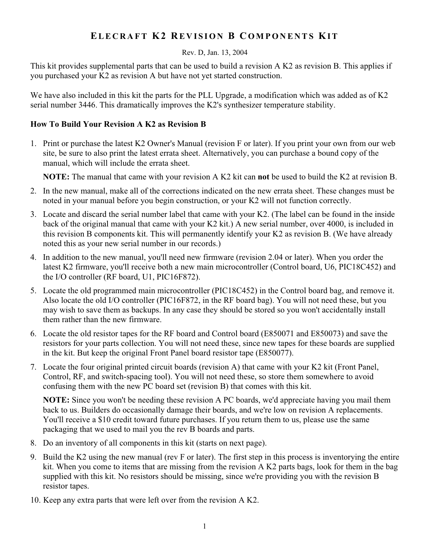## **ELECRAFT K2 REVISION B COMPONENTS KIT**

## Rev. D, Jan. 13, 2004

This kit provides supplemental parts that can be used to build a revision A K2 as revision B. This applies if you purchased your K2 as revision A but have not yet started construction.

We have also included in this kit the parts for the PLL Upgrade, a modification which was added as of K2 serial number 3446. This dramatically improves the K2's synthesizer temperature stability.

## **How To Build Your Revision A K2 as Revision B**

1. Print or purchase the latest K2 Owner's Manual (revision F or later). If you print your own from our web site, be sure to also print the latest errata sheet. Alternatively, you can purchase a bound copy of the manual, which will include the errata sheet.

**NOTE:** The manual that came with your revision A K2 kit can **not** be used to build the K2 at revision B.

- 2. In the new manual, make all of the corrections indicated on the new errata sheet. These changes must be noted in your manual before you begin construction, or your K2 will not function correctly.
- 3. Locate and discard the serial number label that came with your K2. (The label can be found in the inside back of the original manual that came with your K2 kit.) A new serial number, over 4000, is included in this revision B components kit. This will permanently identify your K2 as revision B. (We have already noted this as your new serial number in our records.)
- 4. In addition to the new manual, you'll need new firmware (revision 2.04 or later). When you order the latest K2 firmware, you'll receive both a new main microcontroller (Control board, U6, PIC18C452) and the I/O controller (RF board, U1, PIC16F872).
- 5. Locate the old programmed main microcontroller (PIC18C452) in the Control board bag, and remove it. Also locate the old I/O controller (PIC16F872, in the RF board bag). You will not need these, but you may wish to save them as backups. In any case they should be stored so you won't accidentally install them rather than the new firmware.
- 6. Locate the old resistor tapes for the RF board and Control board (E850071 and E850073) and save the resistors for your parts collection. You will not need these, since new tapes for these boards are supplied in the kit. But keep the original Front Panel board resistor tape (E850077).
- 7. Locate the four original printed circuit boards (revision A) that came with your K2 kit (Front Panel, Control, RF, and switch-spacing tool). You will not need these, so store them somewhere to avoid confusing them with the new PC board set (revision B) that comes with this kit.

**NOTE:** Since you won't be needing these revision A PC boards, we'd appreciate having you mail them back to us. Builders do occasionally damage their boards, and we're low on revision A replacements. You'll receive a \$10 credit toward future purchases. If you return them to us, please use the same packaging that we used to mail you the rev B boards and parts.

- 8. Do an inventory of all components in this kit (starts on next page).
- 9. Build the K2 using the new manual (rev F or later). The first step in this process is inventorying the entire kit. When you come to items that are missing from the revision A K2 parts bags, look for them in the bag supplied with this kit. No resistors should be missing, since we're providing you with the revision B resistor tapes.
- 10. Keep any extra parts that were left over from the revision A K2.